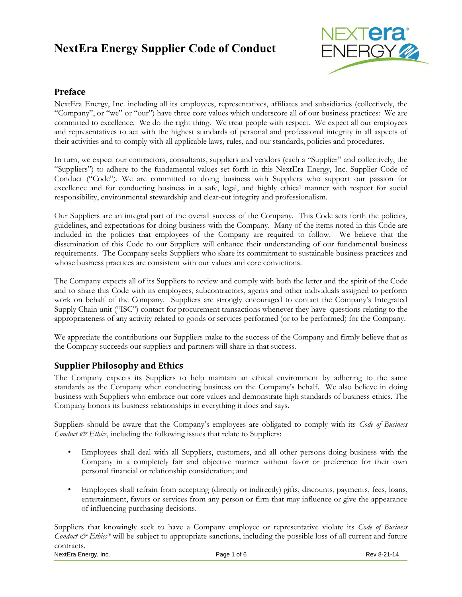# **NextEra Energy Supplier Code of Conduct**



## **Preface**

NextEra Energy, Inc. including all its employees, representatives, affiliates and subsidiaries (collectively, the "Company", or "we" or "our") have three core values which underscore all of our business practices: We are committed to excellence. We do the right thing. We treat people with respect. We expect all our employees and representatives to act with the highest standards of personal and professional integrity in all aspects of their activities and to comply with all applicable laws, rules, and our standards, policies and procedures.

In turn, we expect our contractors, consultants, suppliers and vendors (each a "Supplier" and collectively, the "Suppliers") to adhere to the fundamental values set forth in this NextEra Energy, Inc. Supplier Code of Conduct ("Code"). We are committed to doing business with Suppliers who support our passion for excellence and for conducting business in a safe, legal, and highly ethical manner with respect for social responsibility, environmental stewardship and clear-cut integrity and professionalism.

Our Suppliers are an integral part of the overall success of the Company. This Code sets forth the policies, guidelines, and expectations for doing business with the Company. Many of the items noted in this Code are included in the policies that employees of the Company are required to follow. We believe that the dissemination of this Code to our Suppliers will enhance their understanding of our fundamental business requirements. The Company seeks Suppliers who share its commitment to sustainable business practices and whose business practices are consistent with our values and core convictions.

The Company expects all of its Suppliers to review and comply with both the letter and the spirit of the Code and to share this Code with its employees, subcontractors, agents and other individuals assigned to perform work on behalf of the Company. Suppliers are strongly encouraged to contact the Company's Integrated Supply Chain unit ("ISC") contact for procurement transactions whenever they have questions relating to the appropriateness of any activity related to goods or services performed (or to be performed) for the Company.

We appreciate the contributions our Suppliers make to the success of the Company and firmly believe that as the Company succeeds our suppliers and partners will share in that success.

## **Supplier Philosophy and Ethics**

The Company expects its Suppliers to help maintain an ethical environment by adhering to the same standards as the Company when conducting business on the Company's behalf. We also believe in doing business with Suppliers who embrace our core values and demonstrate high standards of business ethics. The Company honors its business relationships in everything it does and says.

Suppliers should be aware that the Company's employees are obligated to comply with its *Code of Business Conduct*  $\mathcal{Q}$  *Ethics*, including the following issues that relate to Suppliers:

- Employees shall deal with all Suppliers, customers, and all other persons doing business with the Company in a completely fair and objective manner without favor or preference for their own personal financial or relationship consideration; and
- Employees shall refrain from accepting (directly or indirectly) gifts, discounts, payments, fees, loans, entertainment, favors or services from any person or firm that may influence or give the appearance of influencing purchasing decisions.

NextEra Energy, Inc. The Contract of Contract Page 1 of 6 Rev 8-21-14 Rev 8-21-14 Suppliers that knowingly seek to have a Company employee or representative violate its *Code of Business Conduct & Ethics\** will be subject to appropriate sanctions, including the possible loss of all current and future contracts.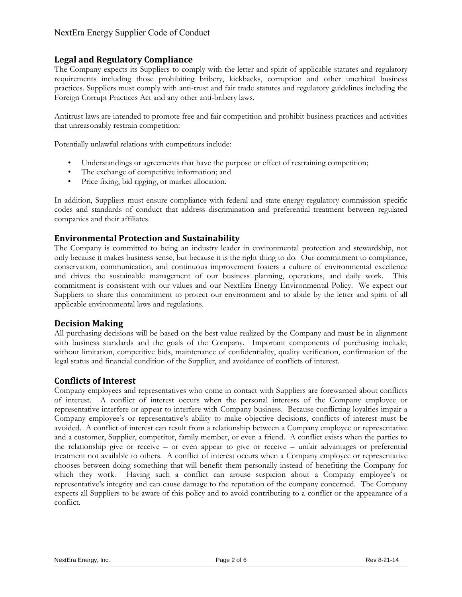## **Legal and Regulatory Compliance**

The Company expects its Suppliers to comply with the letter and spirit of applicable statutes and regulatory requirements including those prohibiting bribery, kickbacks, corruption and other unethical business practices. Suppliers must comply with anti-trust and fair trade statutes and regulatory guidelines including the Foreign Corrupt Practices Act and any other anti-bribery laws.

Antitrust laws are intended to promote free and fair competition and prohibit business practices and activities that unreasonably restrain competition:

Potentially unlawful relations with competitors include:

- Understandings or agreements that have the purpose or effect of restraining competition;
- The exchange of competitive information; and
- Price fixing, bid rigging, or market allocation.

In addition, Suppliers must ensure compliance with federal and state energy regulatory commission specific codes and standards of conduct that address discrimination and preferential treatment between regulated companies and their affiliates.

## **Environmental Protection and Sustainability**

The Company is committed to being an industry leader in environmental protection and stewardship, not only because it makes business sense, but because it is the right thing to do. Our commitment to compliance, conservation, communication, and continuous improvement fosters a culture of environmental excellence and drives the sustainable management of our business planning, operations, and daily work. This commitment is consistent with our values and our NextEra Energy Environmental Policy. We expect our Suppliers to share this commitment to protect our environment and to abide by the letter and spirit of all applicable environmental laws and regulations.

#### **Decision Making**

All purchasing decisions will be based on the best value realized by the Company and must be in alignment with business standards and the goals of the Company. Important components of purchasing include, without limitation, competitive bids, maintenance of confidentiality, quality verification, confirmation of the legal status and financial condition of the Supplier, and avoidance of conflicts of interest.

#### **Conflicts of Interest**

Company employees and representatives who come in contact with Suppliers are forewarned about conflicts of interest. A conflict of interest occurs when the personal interests of the Company employee or representative interfere or appear to interfere with Company business. Because conflicting loyalties impair a Company employee's or representative's ability to make objective decisions, conflicts of interest must be avoided. A conflict of interest can result from a relationship between a Company employee or representative and a customer, Supplier, competitor, family member, or even a friend. A conflict exists when the parties to the relationship give or receive – or even appear to give or receive – unfair advantages or preferential treatment not available to others. A conflict of interest occurs when a Company employee or representative chooses between doing something that will benefit them personally instead of benefiting the Company for which they work. Having such a conflict can arouse suspicion about a Company employee's or representative's integrity and can cause damage to the reputation of the company concerned. The Company expects all Suppliers to be aware of this policy and to avoid contributing to a conflict or the appearance of a conflict.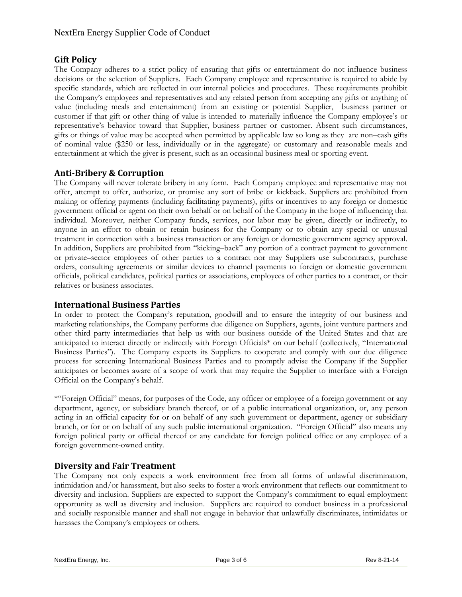## **Gift Policy**

The Company adheres to a strict policy of ensuring that gifts or entertainment do not influence business decisions or the selection of Suppliers. Each Company employee and representative is required to abide by specific standards, which are reflected in our internal policies and procedures. These requirements prohibit the Company's employees and representatives and any related person from accepting any gifts or anything of value (including meals and entertainment) from an existing or potential Supplier, business partner or customer if that gift or other thing of value is intended to materially influence the Company employee's or representative's behavior toward that Supplier, business partner or customer. Absent such circumstances, gifts or things of value may be accepted when permitted by applicable law so long as they are non–cash gifts of nominal value (\$250 or less, individually or in the aggregate) or customary and reasonable meals and entertainment at which the giver is present, such as an occasional business meal or sporting event.

## **Anti-Bribery & Corruption**

The Company will never tolerate bribery in any form. Each Company employee and representative may not offer, attempt to offer, authorize, or promise any sort of bribe or kickback. Suppliers are prohibited from making or offering payments (including facilitating payments), gifts or incentives to any foreign or domestic government official or agent on their own behalf or on behalf of the Company in the hope of influencing that individual. Moreover, neither Company funds, services, nor labor may be given, directly or indirectly, to anyone in an effort to obtain or retain business for the Company or to obtain any special or unusual treatment in connection with a business transaction or any foreign or domestic government agency approval. In addition, Suppliers are prohibited from "kicking–back" any portion of a contract payment to government or private–sector employees of other parties to a contract nor may Suppliers use subcontracts, purchase orders, consulting agreements or similar devices to channel payments to foreign or domestic government officials, political candidates, political parties or associations, employees of other parties to a contract, or their relatives or business associates.

## **International Business Parties**

In order to protect the Company's reputation, goodwill and to ensure the integrity of our business and marketing relationships, the Company performs due diligence on Suppliers, agents, joint venture partners and other third party intermediaries that help us with our business outside of the United States and that are anticipated to interact directly or indirectly with Foreign Officials\* on our behalf (collectively, "International Business Parties"). The Company expects its Suppliers to cooperate and comply with our due diligence process for screening International Business Parties and to promptly advise the Company if the Supplier anticipates or becomes aware of a scope of work that may require the Supplier to interface with a Foreign Official on the Company's behalf.

\*"Foreign Official" means, for purposes of the Code, any officer or employee of a foreign government or any department, agency, or subsidiary branch thereof, or of a public international organization, or, any person acting in an official capacity for or on behalf of any such government or department, agency or subsidiary branch, or for or on behalf of any such public international organization. "Foreign Official" also means any foreign political party or official thereof or any candidate for foreign political office or any employee of a foreign government-owned entity.

# **Diversity and Fair Treatment**

The Company not only expects a work environment free from all forms of unlawful discrimination, intimidation and/or harassment, but also seeks to foster a work environment that reflects our commitment to diversity and inclusion. Suppliers are expected to support the Company's commitment to equal employment opportunity as well as diversity and inclusion. Suppliers are required to conduct business in a professional and socially responsible manner and shall not engage in behavior that unlawfully discriminates, intimidates or harasses the Company's employees or others.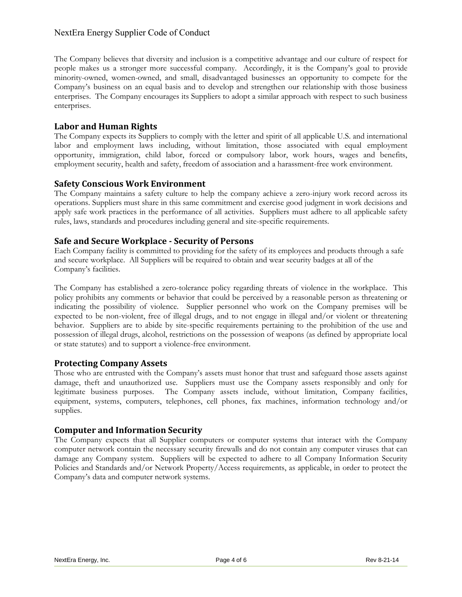## NextEra Energy Supplier Code of Conduct

The Company believes that diversity and inclusion is a competitive advantage and our culture of respect for people makes us a stronger more successful company. Accordingly, it is the Company's goal to provide minority-owned, women-owned, and small, disadvantaged businesses an opportunity to compete for the Company's business on an equal basis and to develop and strengthen our relationship with those business enterprises. The Company encourages its Suppliers to adopt a similar approach with respect to such business enterprises.

## **Labor and Human Rights**

The Company expects its Suppliers to comply with the letter and spirit of all applicable U.S. and international labor and employment laws including, without limitation, those associated with equal employment opportunity, immigration, child labor, forced or compulsory labor, work hours, wages and benefits, employment security, health and safety, freedom of association and a harassment-free work environment.

#### **Safety Conscious Work Environment**

The Company maintains a safety culture to help the company achieve a zero-injury work record across its operations. Suppliers must share in this same commitment and exercise good judgment in work decisions and apply safe work practices in the performance of all activities. Suppliers must adhere to all applicable safety rules, laws, standards and procedures including general and site-specific requirements.

#### **Safe and Secure Workplace - Security of Persons**

Each Company facility is committed to providing for the safety of its employees and products through a safe and secure workplace. All Suppliers will be required to obtain and wear security badges at all of the Company's facilities.

The Company has established a zero-tolerance policy regarding threats of violence in the workplace. This policy prohibits any comments or behavior that could be perceived by a reasonable person as threatening or indicating the possibility of violence. Supplier personnel who work on the Company premises will be expected to be non-violent, free of illegal drugs, and to not engage in illegal and/or violent or threatening behavior. Suppliers are to abide by site-specific requirements pertaining to the prohibition of the use and possession of illegal drugs, alcohol, restrictions on the possession of weapons (as defined by appropriate local or state statutes) and to support a violence-free environment.

## **Protecting Company Assets**

Those who are entrusted with the Company's assets must honor that trust and safeguard those assets against damage, theft and unauthorized use. Suppliers must use the Company assets responsibly and only for legitimate business purposes. The Company assets include, without limitation, Company facilities, equipment, systems, computers, telephones, cell phones, fax machines, information technology and/or supplies.

## **Computer and Information Security**

The Company expects that all Supplier computers or computer systems that interact with the Company computer network contain the necessary security firewalls and do not contain any computer viruses that can damage any Company system. Suppliers will be expected to adhere to all Company Information Security Policies and Standards and/or Network Property/Access requirements, as applicable, in order to protect the Company's data and computer network systems.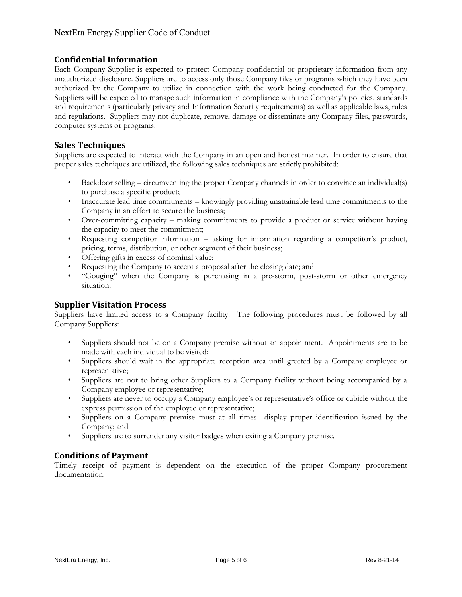## **Confidential Information**

Each Company Supplier is expected to protect Company confidential or proprietary information from any unauthorized disclosure. Suppliers are to access only those Company files or programs which they have been authorized by the Company to utilize in connection with the work being conducted for the Company. Suppliers will be expected to manage such information in compliance with the Company's policies, standards and requirements (particularly privacy and Information Security requirements) as well as applicable laws, rules and regulations. Suppliers may not duplicate, remove, damage or disseminate any Company files, passwords, computer systems or programs.

## **Sales Techniques**

Suppliers are expected to interact with the Company in an open and honest manner. In order to ensure that proper sales techniques are utilized, the following sales techniques are strictly prohibited:

- Backdoor selling circumventing the proper Company channels in order to convince an individual(s) to purchase a specific product;
- Inaccurate lead time commitments knowingly providing unattainable lead time commitments to the Company in an effort to secure the business;
- Over-committing capacity making commitments to provide a product or service without having the capacity to meet the commitment;
- Requesting competitor information asking for information regarding a competitor's product, pricing, terms, distribution, or other segment of their business;
- Offering gifts in excess of nominal value;
- Requesting the Company to accept a proposal after the closing date; and
- "Gouging" when the Company is purchasing in a pre-storm, post-storm or other emergency situation.

## **Supplier Visitation Process**

Suppliers have limited access to a Company facility. The following procedures must be followed by all Company Suppliers:

- Suppliers should not be on a Company premise without an appointment. Appointments are to be made with each individual to be visited;
- Suppliers should wait in the appropriate reception area until greeted by a Company employee or representative;
- Suppliers are not to bring other Suppliers to a Company facility without being accompanied by a Company employee or representative;
- Suppliers are never to occupy a Company employee's or representative's office or cubicle without the express permission of the employee or representative;
- Suppliers on a Company premise must at all times display proper identification issued by the Company; and
- Suppliers are to surrender any visitor badges when exiting a Company premise.

# **Conditions of Payment**

Timely receipt of payment is dependent on the execution of the proper Company procurement documentation.